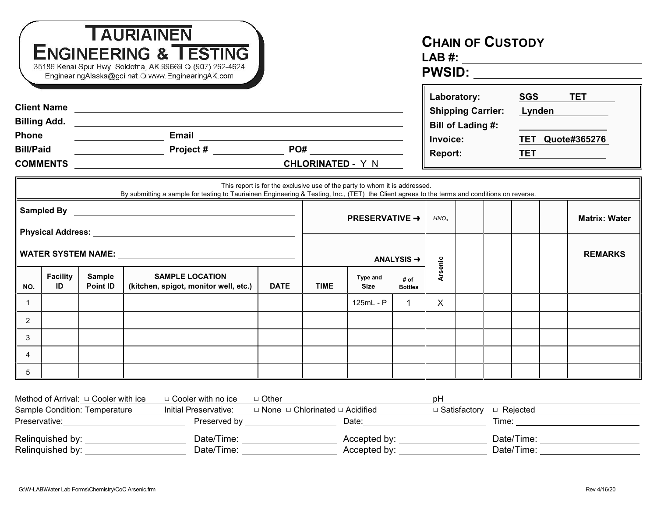|                                                                                                                                                                                                                                |                       |                                  | <b>TAURIAINEN</b><br><b>ENGINEERING &amp; TESTING</b><br>35186 Kenai Spur Hwy Soldotna, AK 99669 O (907) 262-4624<br>EngineeringAlaska@gci.net O www.EngineeringAK.com | <b>CHAIN OF CUSTODY</b> |                        |                                                                            |                        |                  |                                                                                                   |  |                                                                      |                      |
|--------------------------------------------------------------------------------------------------------------------------------------------------------------------------------------------------------------------------------|-----------------------|----------------------------------|------------------------------------------------------------------------------------------------------------------------------------------------------------------------|-------------------------|------------------------|----------------------------------------------------------------------------|------------------------|------------------|---------------------------------------------------------------------------------------------------|--|----------------------------------------------------------------------|----------------------|
| <b>Phone</b><br><b>Bill/Paid</b><br>COMMENTS COMMENTS COMMENTS COMMENTS                                                                                                                                                        |                       |                                  |                                                                                                                                                                        |                         |                        |                                                                            |                        |                  | Laboratory:<br><b>Shipping Carrier:</b><br><b>Bill of Lading #:</b><br>Invoice:<br><b>Report:</b> |  | SGS TET<br>Lynden<br>Lynden<br><b>TET Quote#365276</b><br><b>TET</b> |                      |
|                                                                                                                                                                                                                                |                       |                                  | By submitting a sample for testing to Tauriainen Engineering & Testing, Inc., (TET) the Client agrees to the terms and conditions on reverse.                          |                         |                        | This report is for the exclusive use of the party to whom it is addressed. |                        |                  |                                                                                                   |  |                                                                      |                      |
|                                                                                                                                                                                                                                |                       |                                  |                                                                                                                                                                        |                         | <b>PRESERVATIVE →</b>  |                                                                            |                        | HNO <sub>2</sub> |                                                                                                   |  |                                                                      | <b>Matrix: Water</b> |
| Physical Address: No. 1996. The Contract of the Contract of the Contract of the Contract of the Contract of the Contract of the Contract of the Contract of the Contract of the Contract of the Contract of the Contract of th |                       |                                  |                                                                                                                                                                        |                         | ANALYSIS $\rightarrow$ |                                                                            |                        |                  |                                                                                                   |  |                                                                      | <b>REMARKS</b>       |
| NO.                                                                                                                                                                                                                            | <b>Facility</b><br>ID | <b>Sample</b><br><b>Point ID</b> | <b>SAMPLE LOCATION</b><br>(kitchen, spigot, monitor well, etc.)                                                                                                        | <b>DATE</b>             | <b>TIME</b>            | Type and<br><b>Size</b>                                                    | # of<br><b>Bottles</b> | <b>Arsenic</b>   |                                                                                                   |  |                                                                      |                      |
| $\mathbf{1}$                                                                                                                                                                                                                   |                       |                                  |                                                                                                                                                                        |                         |                        | 125mL - P                                                                  |                        | $\mathsf{x}$     |                                                                                                   |  |                                                                      |                      |
| $\overline{2}$                                                                                                                                                                                                                 |                       |                                  |                                                                                                                                                                        |                         |                        |                                                                            |                        |                  |                                                                                                   |  |                                                                      |                      |
| 3                                                                                                                                                                                                                              |                       |                                  |                                                                                                                                                                        |                         |                        |                                                                            |                        |                  |                                                                                                   |  |                                                                      |                      |
| $\overline{4}$                                                                                                                                                                                                                 |                       |                                  |                                                                                                                                                                        |                         |                        |                                                                            |                        |                  |                                                                                                   |  |                                                                      |                      |
| 5                                                                                                                                                                                                                              |                       |                                  |                                                                                                                                                                        |                         |                        |                                                                            |                        |                  |                                                                                                   |  |                                                                      |                      |

| Method of Arrival: $\Box$ Cooler with ice | $\Box$ Cooler with no ice | □ Other                                         | рH                           |
|-------------------------------------------|---------------------------|-------------------------------------------------|------------------------------|
| Sample Condition: Temperature             | Initial Preservative:     | $\Box$ None $\Box$ Chlorinated $\Box$ Acidified | □ Satisfactorv<br>□ Reiected |
| Preservative:                             | Preserved by              | Date:                                           | Time:                        |
| Relinquished by:                          | Date/Time:                | Accepted by:                                    | Date/Time:                   |
| Relinguished by:                          | Date/Time:                | Accepted by:                                    | Date/Time:                   |